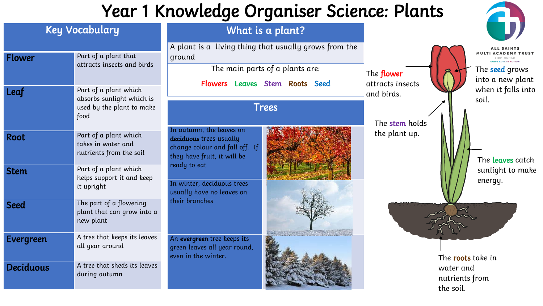## Year 1 Knowledge Organiser Science: Plants

|                       |                                                                                         | rear rinconteage organiser occurso, randa                                                                                            |                                                                                                                            |                                                  |                                                                                                                             |
|-----------------------|-----------------------------------------------------------------------------------------|--------------------------------------------------------------------------------------------------------------------------------------|----------------------------------------------------------------------------------------------------------------------------|--------------------------------------------------|-----------------------------------------------------------------------------------------------------------------------------|
| <b>Key Vocabulary</b> |                                                                                         | What is a plant?                                                                                                                     |                                                                                                                            |                                                  |                                                                                                                             |
| <b>Flower</b>         | Part of a plant that<br>attracts insects and birds                                      | ground                                                                                                                               | A plant is a living thing that usually grows from the<br>The main parts of a plants are:<br>Flowers Leaves Stem Roots Seed |                                                  | <b>ALL SAINTS</b><br><b>MULTI ACADEMY TRUST</b><br>RIPMINGHAM<br>GOD'S LOVE IN ACTION<br>The seed grows<br>into a new plant |
| Leaf                  | Part of a plant which<br>absorbs sunlight which is<br>used by the plant to make<br>food | <b>Trees</b>                                                                                                                         |                                                                                                                            | attracts insects<br>and birds.<br>The stem holds | when it falls into<br>soil.                                                                                                 |
| Root                  | Part of a plant which<br>takes in water and<br>nutrients from the soil                  | In autumn, the leaves on<br>deciduous trees usually<br>change colour and fall off. If<br>they have fruit, it will be<br>ready to eat |                                                                                                                            | the plant up.                                    | The leaves catch                                                                                                            |
| <b>Stem</b>           | Part of a plant which<br>helps support it and keep<br>it upright                        | In winter, deciduous trees<br>usually have no leaves on                                                                              |                                                                                                                            |                                                  | sunlight to make<br>energy.                                                                                                 |
| <b>Seed</b>           | The part of a flowering<br>plant that can grow into a<br>new plant                      | their branches                                                                                                                       |                                                                                                                            |                                                  |                                                                                                                             |
| Evergreen             | A tree that keeps its leaves<br>all year around                                         | An evergreen tree keeps its<br>green leaves all year round,<br>even in the winter.                                                   |                                                                                                                            |                                                  | The <b>roots</b> take in                                                                                                    |
| <b>Deciduous</b>      | A tree that sheds its leaves<br>during autumn                                           |                                                                                                                                      |                                                                                                                            |                                                  | water and<br>nutrients from<br>the soil.                                                                                    |